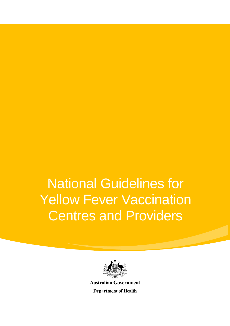# National Guidelines for **Yellow Fever Vaccination** Centres and Providers



**Australian Government** 

**Department of Health**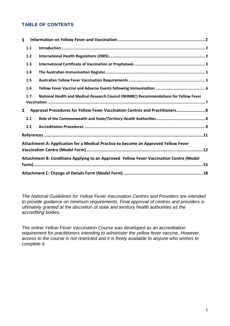### **TABLE OF CONTENTS**

| $\mathbf{1}$ |                                                                                         |                                                                                       |  |  |  |  |
|--------------|-----------------------------------------------------------------------------------------|---------------------------------------------------------------------------------------|--|--|--|--|
|              | 1.1                                                                                     |                                                                                       |  |  |  |  |
|              | 1.2                                                                                     |                                                                                       |  |  |  |  |
|              | 1.3                                                                                     |                                                                                       |  |  |  |  |
|              | 1.4                                                                                     |                                                                                       |  |  |  |  |
|              | 1.5                                                                                     |                                                                                       |  |  |  |  |
|              | 1.6                                                                                     |                                                                                       |  |  |  |  |
|              | 1.7                                                                                     | National Health and Medical Research Council (NHMRC) Recommendations for Yellow Fever |  |  |  |  |
|              |                                                                                         |                                                                                       |  |  |  |  |
| $\mathbf{2}$ |                                                                                         | Approval Procedures for Yellow Fever Vaccination Centres and Practitioners 8          |  |  |  |  |
|              | 2.1                                                                                     |                                                                                       |  |  |  |  |
|              | 2.2                                                                                     |                                                                                       |  |  |  |  |
|              |                                                                                         |                                                                                       |  |  |  |  |
|              |                                                                                         | Attachment A: Application for a Medical Practice to become an Approved Yellow Fever   |  |  |  |  |
|              | Attachment B: Conditions Applying to an Approved Yellow Fever Vaccination Centre (Model |                                                                                       |  |  |  |  |
|              |                                                                                         |                                                                                       |  |  |  |  |
|              |                                                                                         |                                                                                       |  |  |  |  |

*The National Guidelines for Yellow Fever Vaccination Centres and Providers are intended to provide guidance on minimum requirements. Final approval of centres and providers is ultimately granted at the discretion of state and territory health authorities as the accrediting bodies.* 

*The online Yellow Fever Vaccination Course was developed as an accreditation requirement for practitioners intending to administer the yellow fever vaccine. However, access to the course is not restricted and it is freely available to anyone who wishes to complete it.*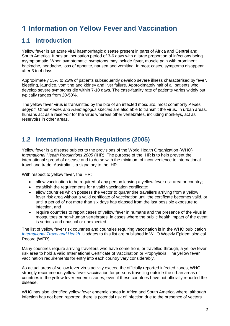# <span id="page-2-0"></span>**Information on Yellow Fever and Vaccination**

# <span id="page-2-1"></span>**1.1 Introduction**

Yellow fever is an acute viral haemorrhagic disease present in parts of Africa and Central and South America. It has an incubation period of 3-6 days with a large proportion of infections being asymptomatic. When symptomatic, symptoms may include fever, muscle pain with prominent backache, headache, loss of appetite, nausea and vomiting. In most cases, symptoms disappear after 3 to 4 days.

Approximately 15% to 25% of patients subsequently develop severe illness characterised by fever, bleeding, jaundice, vomiting and kidney and liver failure. Approximately half of all patients who develop severe symptoms die within 7-10 days. The case-fatality rate of patients varies widely but typically ranges from 20-50%.

The yellow fever virus is transmitted by the bite of an infected mosquito, most commonly *Aedes aegypti.* Other *Aedes and Haemagogus species* are also able to transmit the virus. In urban areas, humans act as a reservoir for the virus whereas other vertebrates, including monkeys, act as reservoirs in other areas.

# <span id="page-2-2"></span>**1.2 International Health Regulations (2005)**

Yellow fever is a disease subject to the provisions of the World Health Organization (WHO) *International Health Regulations 2005* (IHR). The purpose of the IHR is to help prevent the international spread of disease and to do so with the minimum of inconvenience to international travel and trade. Australia is a signatory to the IHR.

With respect to yellow fever, the IHR:

- allow vaccination to be required of any person leaving a yellow fever risk area or country;
- establish the requirements for a valid vaccination certificate;
- allow countries which possess the vector to quarantine travellers arriving from a yellow fever risk area without a valid certificate of vaccination until the certificate becomes valid, or until a period of not more than six days has elapsed from the last possible exposure to infection, and
- require countries to report cases of yellow fever in humans and the presence of the virus in mosquitoes or non-human vertebrates, in cases where the public health impact of the event is serious and unusual or unexpected.

The list of yellow fever risk countries and countries requiring vaccination is in the WHO publication *[International Travel and Health](http://www.who.int/ith/en)*. Updates to this list are published in WHO Weekly Epidemiological Record (WER).

Many countries require arriving travellers who have come from, or travelled through, a yellow fever risk area to hold a valid International Certificate of Vaccination or Prophylaxis. The yellow fever vaccination requirements for entry into each country vary considerably.

As actual areas of yellow fever virus activity exceed the officially reported infected zones, WHO strongly recommends yellow fever vaccination for persons travelling outside the urban areas of countries in the yellow fever endemic zones, even if these countries have not officially reported the disease.

WHO has also identified yellow fever endemic zones in Africa and South America where, although infection has not been reported, there is potential risk of infection due to the presence of vectors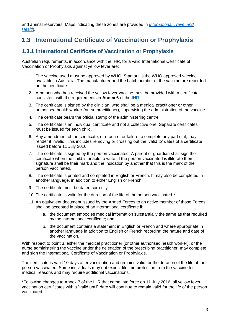and animal reservoirs. Maps indicating these zones are provided in *[International Travel and](http://www.who.int/ith/en)  [Health](http://www.who.int/ith/en)*.

# <span id="page-3-0"></span>**1.3 International Certificate of Vaccination or Prophylaxis**

### **1.3.1 International Certificate of Vaccination or Prophylaxis**

Australian requirements, in accordance with the IHR, for a valid International Certificate of Vaccination or Prophylaxis against yellow fever are:

- 1. The vaccine used must be approved by WHO. Stamaril is the WHO approved vaccine available in Australia. The manufacturer and the batch number of the vaccine are recorded on the certificate.
- 2. A person who has received the yellow fever vaccine must be provided with a certificate consistent with the requirements in **Annex 6** of the [IHR.](http://apps.who.int/iris/bitstream/10665/246107/1/9789241580496-eng.pdf?ua=1)
- 3. The certificate is signed by the clinician, who shall be a medical practitioner or other authorised health worker (nurse practitioner), supervising the administration of the vaccine.
- 4. The certificate bears the official stamp of the administering centre.
- 5. The certificate is an individual certificate and not a collective one. Separate certificates must be issued for each child.
- 6. Any amendment of the certificate, or erasure, or failure to complete any part of it, may render it invalid. This includes removing or crossing out the 'valid to' dates of a certificate issued before 11 July 2016.
- 7. The certificate is signed by the person vaccinated. A parent or guardian shall sign the certificate when the child is unable to write. If the person vaccinated is illiterate their signature shall be their mark and the indication by another that this is the mark of the person vaccinated.
- 8. The certificate is printed and completed in English or French. It may also be completed in another language, in addition to either English or French.
- 9. The certificate must be dated correctly.
- 10. The certificate is valid for the duration of the life of the person vaccinated.\*
- 11. An equivalent document issued by the Armed Forces to an active member of those Forces shall be accepted in place of an international certificate if:
	- a. the document embodies medical information substantially the same as that required by the international certificate; and
	- b. the document contains a statement in English or French and where appropriate in another language in addition to English or French recording the nature and date of the vaccination.

With respect to point 3, either the medical practitioner (or other authorised health worker), or the nurse administering the vaccine under the delegation of the prescribing practitioner, may complete and sign the International Certificate of Vaccination or Prophylaxis.

The certificate is valid 10 days after vaccination and remains valid for the duration of the life of the person vaccinated. Some individuals may not expect lifetime protection from the vaccine for medical reasons and may require additional vaccinations.

\*Following changes to Annex 7 of the IHR that came into force on 11 July 2016, all yellow fever vaccination certificates with a "valid until" date will continue to remain valid for the life of the person vaccinated.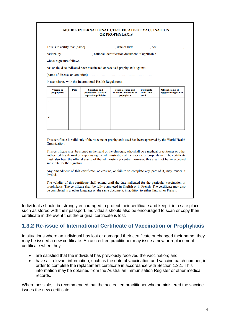#### MODEL INTERNATIONAL CERTIFICATE OF VACCINATION **OR PROPHYLAXIS**

has on the date indicated been vaccinated or received prophylaxis against:

in accordance with the International Health Regulations.

| <b>Vaccine or</b><br>prophylaxis | Date | <b>Signature and</b><br>professional status of<br>supervising clinician | <b>Manufacturer</b> and<br>batch No. of vaccine or<br>prophylaxis | <b>Certificate</b><br>valid from<br>until | <b>Official stamp of</b><br>administering centre |
|----------------------------------|------|-------------------------------------------------------------------------|-------------------------------------------------------------------|-------------------------------------------|--------------------------------------------------|
| 1.                               |      |                                                                         |                                                                   |                                           |                                                  |
|                                  |      |                                                                         |                                                                   |                                           |                                                  |
| 2.                               |      |                                                                         |                                                                   |                                           |                                                  |
|                                  |      |                                                                         |                                                                   |                                           |                                                  |

This certificate is valid only if the vaccine or prophylaxis used has been approved by the World Health Organization

This certificate must be signed in the hand of the clinician, who shall be a medical practitioner or other authorized health worker, supervising the administration of the vaccine or prophylaxis. The certificate must also bear the official stamp of the administering centre; however, this shall not be an accepted substitute for the signature.

Any amendment of this certificate, or erasure, or failure to complete any part of it, may render it invalid.

The validity of this certificate shall extend until the date indicated for the particular vaccination or prophylaxis. The certificate shall be fully completed in English or in French. The certificate may also be completed in another language on the same document, in addition to either English or French.

Individuals should be strongly encouraged to protect their certificate and keep it in a safe place such as stored with their passport. Individuals should also be encouraged to scan or copy their certificate in the event that the original certificate is lost.

### **1.3.2 Re-issue of International Certificate of Vaccination or Prophylaxis**

In situations where an individual has lost or damaged their certificate or changed their name, they may be issued a new certificate. An accredited practitioner may issue a new or replacement certificate when they:

- are satisfied that the individual has previously received the vaccination; and
- have all relevant information, such as the date of vaccination and vaccine batch number, in order to complete the replacement certificate in accordance with Section 1.3.1. This information may be obtained from the Australian Immunisation Register or other medical records.

Where possible, it is recommended that the accredited practitioner who administered the vaccine issues the new certificate.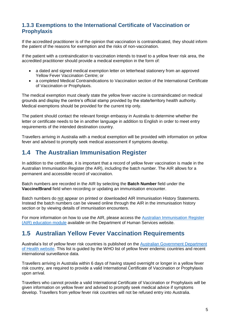### **1.3.3 Exemptions to the International Certificate of Vaccination or Prophylaxis**

If the accredited practitioner is of the opinion that vaccination is contraindicated, they should inform the patient of the reasons for exemption and the risks of non-vaccination.

If the patient with a contraindication to vaccination intends to travel to a yellow fever risk area, the accredited practitioner should provide a medical exemption in the form of:

- a dated and signed medical exemption letter on letterhead stationery from an approved Yellow Fever Vaccination Centre; or
- a completed Medical Contraindications to Vaccination section of the International Certificate of Vaccination or Prophylaxis.

The medical exemption must clearly state the yellow fever vaccine is contraindicated on medical grounds and display the centre's official stamp provided by the state/territory health authority. Medical exemptions should be provided for the current trip only.

The patient should contact the relevant foreign embassy in Australia to determine whether the letter or certificate needs to be in another language in addition to English in order to meet entry requirements of the intended destination country.

Travellers arriving in Australia with a medical exemption will be provided with information on yellow fever and advised to promptly seek medical assessment if symptoms develop.

# <span id="page-5-0"></span>**1.4 The Australian Immunisation Register**

In addition to the certificate, it is important that a record of yellow fever vaccination is made in the Australian Immunisation Register (the AIR), including the batch number. The AIR allows for a permanent and accessible record of vaccination.

Batch numbers are recorded in the AIR by selecting the **Batch Number** field under the **Vaccine/Brand** field when recording or updating an immunisation encounter.

Batch numbers do not appear on printed or downloaded AIR Immunisation History Statements. Instead the batch numbers can be viewed online through the AIR in the immunisation history section or by viewing details of immunisation encounters.

For more information on how to use the AIR, please access the [Australian Immunisation Register](http://medicareaust.com/MODULES/AIR/AIRM04/index.html)  [\(AIR\) education module](http://medicareaust.com/MODULES/AIR/AIRM04/index.html) available on the Department of Human Services website.

# <span id="page-5-1"></span>**1.5 Australian Yellow Fever Vaccination Requirements**

Australia's list of yellow fever risk countries is published on the [Australian Government Department](http://www.health.gov.au/internet/main/publishing.nsf/Content/health-pubhlth-strateg-communic-factsheets-yellow.htm)  [of Health website.](http://www.health.gov.au/internet/main/publishing.nsf/Content/health-pubhlth-strateg-communic-factsheets-yellow.htm) This list is guided by the WHO list of yellow fever endemic countries and recent international surveillance data.

Travellers arriving in Australia within 6 days of having stayed overnight or longer in a yellow fever risk country, are required to provide a valid International Certificate of Vaccination or Prophylaxis upon arrival.

Travellers who cannot provide a valid International Certificate of Vaccination or Prophylaxis will be given information on yellow fever and advised to promptly seek medical advice if symptoms develop. Travellers from yellow fever risk countries will not be refused entry into Australia.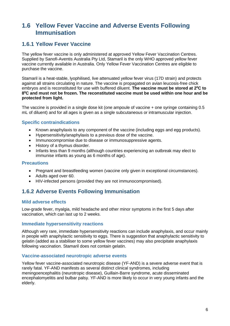# <span id="page-6-0"></span>**1.6 Yellow Fever Vaccine and Adverse Events Following Immunisation**

### **1.6.1 Yellow Fever Vaccine**

The yellow fever vaccine is only administered at approved Yellow Fever Vaccination Centres. Supplied by Sanofi-Aventis Australia Pty Ltd, Stamaril is the only WHO approved yellow fever vaccine currently available in Australia. Only Yellow Fever Vaccination Centres are eligible to purchase the vaccine.

Stamaril is a heat-stable, lyophilised, live attenuated yellow fever virus (17D strain) and protects against all strains circulating in nature. The vaccine is propagated on avian leucosis-free chick embryos and is reconstituted for use with buffered diluent. **The vaccine must be stored at 2<sup>0</sup>C to 8 <sup>0</sup>C and must not be frozen. The reconstituted vaccine must be used within one hour and be protected from light.** 

The vaccine is provided in a single dose kit (one ampoule of vaccine + one syringe containing 0.5 mL of diluent) and for all ages is given as a single subcutaneous or intramuscular injection.

#### **Specific contraindications**

- Known anaphylaxis to any component of the vaccine (including eggs and egg products).
- Hypersensitivity/anaphylaxis to a previous dose of the vaccine.
- Immunocompromise due to disease or immunosuppressive agents.
- History of a thymus disorder.
- Infants less than 9 months (although countries experiencing an outbreak may elect to immunise infants as young as 6 months of age).

#### **Precautions**

- Pregnant and breastfeeding women (vaccine only given in exceptional circumstances).
- Adults aged over 60.
- HIV-infected persons (provided they are not immunocompromised).

### **1.6.2 Adverse Events Following Immunisation**

#### **Mild adverse effects**

Low-grade fever, myalgia, mild headache and other minor symptoms in the first 5 days after vaccination, which can last up to 2 weeks.

#### **Immediate hypersensitivity reactions**

Although very rare, immediate hypersensitivity reactions can include anaphylaxis, and occur mainly in people with anaphylactic sensitivity to eggs. There is suggestion that anaphylactic sensitivity to gelatin (added as a stabiliser to some yellow fever vaccines) may also precipitate anaphylaxis following vaccination. Stamaril does not contain gelatin.

#### **Vaccine-associated neurotropic adverse events**

Yellow fever vaccine-associated neurotropic disease (YF-AND) is a severe adverse event that is rarely fatal. YF-AND manifests as several distinct clinical syndromes, including meningoencephalitis (neurotropic disease), Guillain-Barre syndrome, acute disseminated encephalomyelitis and bulbar palsy. YF-AND is more likely to occur in very young infants and the elderly.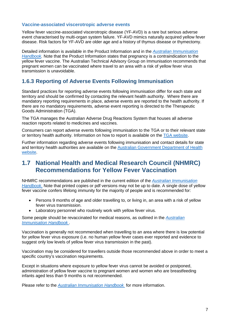#### **Vaccine-associated viscerotropic adverse events**

Yellow fever vaccine-associated viscerotropic disease (YF-AVD) is a rare but serious adverse event characterised by multi-organ system failure. YF-AVD mimics naturally acquired yellow fever disease. Risk factors for YF-AVD are older age and a history of thymus disease or thymectomy.

Detailed information is available in the Product Information and in the *[Australian Immunisation](https://immunisationhandbook.health.gov.au/vaccine-preventable-diseases/yellow-fever)  [Handbook.](https://immunisationhandbook.health.gov.au/vaccine-preventable-diseases/yellow-fever)* Note that the Product Information states that pregnancy is a contraindication to the yellow fever vaccine. The Australian Technical Advisory Group on Immunisation recommends that pregnant women can be vaccinated where travel to an area with a risk of yellow fever virus transmission is unavoidable.

### **1.6.3 Reporting of Adverse Events Following Immunisation**

Standard practices for reporting adverse events following immunisation differ for each state and territory and should be confirmed by contacting the relevant health authority. Where there are mandatory reporting requirements in place, adverse events are reported to the health authority. If there are no mandatory requirements, adverse event reporting is directed to the Therapeutic Goods Administration (TGA).

The TGA manages the Australian Adverse Drug Reactions System that houses all adverse reaction reports related to medicines and vaccines.

Consumers can report adverse events following immunisation to the TGA or to their relevant state or territory health authority. Information on how to report is available on the [TGA website.](https://www.tga.gov.au/reporting-problems)

Further information regarding adverse events following immunisation and contact details for state and territory health authorities are available on the [Australian Government Department of Health](https://beta.health.gov.au/health-topics/immunisation/health-professionals/reporting-and-managing-adverse-vaccination-events)  [website.](https://beta.health.gov.au/health-topics/immunisation/health-professionals/reporting-and-managing-adverse-vaccination-events)

### <span id="page-7-0"></span>**1.7 National Health and Medical Research Council (NHMRC) Recommendations for Yellow Fever Vaccination**

NHMRC recommendations are published in the current edition of the *[Australian Immunisation](https://immunisationhandbook.health.gov.au/vaccine-preventable-diseases/yellow-fever)  [Handbook](https://immunisationhandbook.health.gov.au/vaccine-preventable-diseases/yellow-fever)*. Note that printed copies or pdf versions may not be up to date. A single dose of yellow fever vaccine confers lifelong immunity for the majority of people and is recommended for:

- Persons 9 months of age and older travelling to, or living in, an area with a risk of yellow fever virus transmission.
- Laboratory personnel who routinely work with yellow fever virus.

Some people should be revaccinated for medical reasons, as outlined in the *[Australian](https://immunisationhandbook.health.gov.au/vaccine-preventable-diseases/yellow-fever)  [Immunisation Handbook](https://immunisationhandbook.health.gov.au/vaccine-preventable-diseases/yellow-fever)* .

Vaccination is generally not recommended when travelling to an area where there is low potential for yellow fever virus exposure (i.e. no human yellow fever cases ever reported and evidence to suggest only low levels of yellow fever virus transmission in the past).

Vaccination may be considered for travellers outside those recommended above in order to meet a specific country's vaccination requirements.

Except in situations where exposure to yellow fever virus cannot be avoided or postponed, administration of yellow fever vaccine to pregnant women and women who are breastfeeding infants aged less than 9 months is not recommended.

Please refer to the *[Australian Immunisation Handbook](https://immunisationhandbook.health.gov.au/vaccine-preventable-diseases/yellow-fever)* for more information.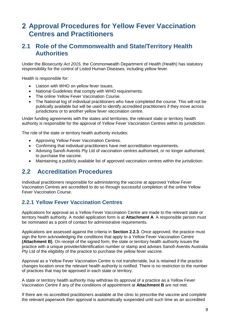# <span id="page-8-0"></span>**Approval Procedures for Yellow Fever Vaccination Centres and Practitioners**

### <span id="page-8-1"></span>**2.1 Role of the Commonwealth and State/Territory Health Authorities**

Under the *Biosecurity Act 2015*, the Commonwealth Department of Health (Health) has statutory responsibility for the control of Listed Human Diseases, including yellow fever.

Health is responsible for:

- Liaison with WHO on yellow fever issues.
- National Guidelines that comply with WHO requirements.
- The online Yellow Fever Vaccination Course.
- The National log of individual practitioners who have completed the course. This will not be publically available but will be used to identify accredited practitioners if they move across jurisdictions or to another yellow fever vaccination centre.

Under funding agreements with the states and territories, the relevant state or territory health authority is responsible for the approval of Yellow Fever Vaccination Centres within its jurisdiction.

The role of the state or territory health authority includes:

- Approving Yellow Fever Vaccination Centres.
- Confirming that individual practitioners have met accreditation requirements.
- Advising Sanofi-Aventis Pty Ltd of vaccination centres authorised, or no longer authorised, to purchase the vaccine.
- <span id="page-8-2"></span>Maintaining a publicly available list of approved vaccination centres within the jurisdiction.

### **2.2 Accreditation Procedures**

Individual practitioners responsible for administering the vaccine at approved Yellow Fever Vaccination Centres are accredited to do so through successful completion of the online Yellow Fever Vaccination Course.

### **2.2.1 Yellow Fever Vaccination Centres**

Applications for approval as a Yellow Fever Vaccination Centre are made to the relevant state or territory health authority. A model application form is at **Attachment A**. A responsible person must be nominated as a point of contact for administrative requirements.

Applications are assessed against the criteria in **Section 2.2.3**. Once approved, the practice must sign the form acknowledging the conditions that apply to a Yellow Fever Vaccination Centre **(Attachment B)**. On receipt of the signed form, the state or territory health authority issues the practice with a unique provider/identification number or stamp and advises Sanofi-Aventis Australia Pty Ltd of the eligibility of the practice to purchase the yellow fever vaccine.

Approval as a Yellow Fever Vaccination Centre is not transferrable, but is retained if the practice changes location once the relevant health authority is notified. There is no restriction to the number of practices that may be approved in each state or territory.

A state or territory health authority may withdraw its approval of a practice as a Yellow Fever Vaccination Centre if any of the conditions of appointment at **Attachment B** are not met.

If there are no accredited practitioners available at the clinic to prescribe the vaccine and complete the relevant paperwork then approval is automatically suspended until such time as an accredited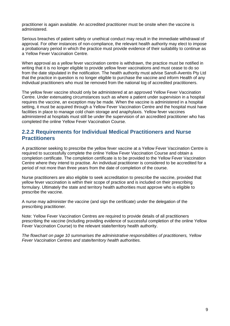practitioner is again available. An accredited practitioner must be onsite when the vaccine is administered.

Serious breaches of patient safety or unethical conduct may result in the immediate withdrawal of approval. For other instances of non-compliance, the relevant health authority may elect to impose a probationary period in which the practice must provide evidence of their suitability to continue as a Yellow Fever Vaccination Centre.

When approval as a yellow fever vaccination centre is withdrawn, the practice must be notified in writing that it is no longer eligible to provide yellow fever vaccinations and must cease to do so from the date stipulated in the notification. The health authority must advise Sanofi-Aventis Pty Ltd that the practice in question is no longer eligible to purchase the vaccine and inform Health of any individual practitioners who must be removed from the national log of accredited practitioners.

The yellow fever vaccine should only be administered at an approved Yellow Fever Vaccination Centre. Under extenuating circumstances such as where a patient under supervision in a hospital requires the vaccine, an exception may be made. When the vaccine is administered in a hospital setting, it must be acquired through a Yellow Fever Vaccination Centre and the hospital must have facilities in place to manage cold chain storage and anaphylaxis. Yellow fever vaccines administered at hospitals must still be under the supervision of an accredited practitioner who has completed the online Yellow Fever Vaccination Course.

### **2.2.2 Requirements for Individual Medical Practitioners and Nurse Practitioners**

A practitioner seeking to prescribe the yellow fever vaccine at a Yellow Fever Vaccination Centre is required to successfully complete the online Yellow Fever Vaccination Course and obtain a completion certificate. The completion certificate is to be provided to the Yellow Fever Vaccination Centre where they intend to practise. An individual practitioner is considered to be accredited for a period of not more than three years from the date of completion of the course.

Nurse practitioners are also eligible to seek accreditation to prescribe the vaccine, provided that yellow fever vaccination is within their scope of practice and is included on their prescribing formulary. Ultimately the state and territory health authorities must approve who is eligible to prescribe the vaccine.

A nurse may administer the vaccine (and sign the certificate) under the delegation of the prescribing practitioner.

Note: Yellow Fever Vaccination Centres are required to provide details of all practitioners prescribing the vaccine (including providing evidence of successful completion of the online Yellow Fever Vaccination Course) to the relevant state/territory health authority.

*The flowchart on page 10 summarises the administrative responsibilities of practitioners, Yellow Fever Vaccination Centres and state/territory health authorities.*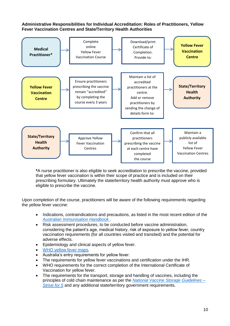#### **Administrative Responsibilities for Individual Accreditation: Roles of Practitioners, Yellow Fever Vaccination Centres and State/Territory Health Authorities**



**\***A nurse practitioner is also eligible to seek accreditation to prescribe the vaccine, provided that yellow fever vaccination is within their scope of practice and is included on their prescribing formulary. Ultimately the state/territory health authority must approve who is eligible to prescribe the vaccine.

Upon completion of the course, practitioners will be aware of the following requirements regarding the yellow fever vaccine:

- Indications, contraindications and precautions, as listed in the most recent edition of the *[Australian Immunisation Handbook](https://immunisationhandbook.health.gov.au/vaccine-preventable-diseases/yellow-fever)* .
- Risk assessment procedures, to be conducted before vaccine administration, considering the patient's age, medical history, risk of exposure to yellow fever, country vaccination requirements (for all countries visited and transited) and the potential for adverse effects.
- Epidemiology and clinical aspects of yellow fever.
- [WHO yellow fever maps.](http://www.who.int/emergencies/yellow-fever/maps/en/)
- Australia's entry requirements for yellow fever.
- The requirements for yellow fever vaccinations and certification under the IHR.
- WHO requirements for the correct completion of the International Certificate of Vaccination for yellow fever.
- The requirements for the transport, storage and handling of vaccines, including the principles of cold chain maintenance as per the *[National Vaccine Storage Guidelines –](https://beta.health.gov.au/resources/publications/national-vaccine-storage-guidelines-strive-for-5-2nd-edition) [Strive for 5](https://beta.health.gov.au/resources/publications/national-vaccine-storage-guidelines-strive-for-5-2nd-edition)* and any additional state/territory government requirements.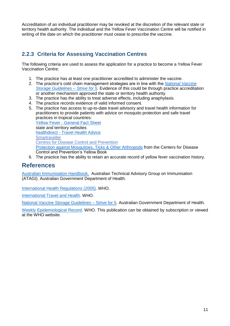Accreditation of an individual practitioner may be revoked at the discretion of the relevant state or territory health authority. The individual and the Yellow Fever Vaccination Centre will be notified in writing of the date on which the practitioner must cease to prescribe the vaccine.

### **2.2.3 Criteria for Assessing Vaccination Centres**

The following criteria are used to assess the application for a practice to become a Yellow Fever Vaccination Centre:

- 1. The practice has at least one practitioner accredited to administer the vaccine.
- 2. The practice's cold chain management strategies are in line with the *[National Vaccine](https://beta.health.gov.au/resources/publications/national-vaccine-storage-guidelines-strive-for-5-2nd-edition)  [Storage Guidelines –](https://beta.health.gov.au/resources/publications/national-vaccine-storage-guidelines-strive-for-5-2nd-edition) Strive for 5.* Evidence of this could be through practice accreditation or another mechanism approved the state or territory health authority.
- 3. The practice has the ability to treat adverse effects, including anaphylaxis.
- 4. The practice records evidence of valid informed consent.
- 5. The practice has access to up-to-date travel advisory and travel health information for practitioners to provide patients with advice on mosquito protection and safe travel practices in tropical countries: Yellow Fever - [General Fact Sheet](http://www.health.gov.au/internet/main/publishing.nsf/Content/health-pubhlth-strateg-communic-factsheets-yellow.htm) state and territory websites healthdirect - [Travel Health Advice](https://www.healthdirect.gov.au/travel-health-advice) **Smartraveller** [Centres for Disease Control and Prevention](https://wwwnc.cdc.gov/travel)  [Protection against Mosquitoes, Ticks & Other Arthropods](https://wwwnc.cdc.gov/travel/yellowbook/2016/the-pre-travel-consultation/protection-against-mosquitoes-ticks-other-arthropods) from the Centers for Disease Control and Prevention's Yellow Book
- 6. The practice has the ability to retain an accurate record of yellow fever vaccination history.

### <span id="page-11-0"></span>**References**

[Australian Immunisation Handbook.](https://immunisationhandbook.health.gov.au/) Australian Technical Advisory Group on Immunisation (ATAGI). Australian Government Department of Health.

[International Health Regulations \(2005\).](http://www.who.int/ihr/publications/9789241580496/en/) WHO.

[International Travel and Health.](http://www.who.int/ith/en/) WHO.

[National Vaccine Storage Guidelines –](https://beta.health.gov.au/resources/publications/national-vaccine-storage-guidelines-strive-for-5-2nd-edition) Strive for 5. Australian Government Department of Health.

[Weekly Epidemiological Record.](http://www.who.int/wer/en/) WHO. This publication can be obtained by subscription or viewed at the WHO website.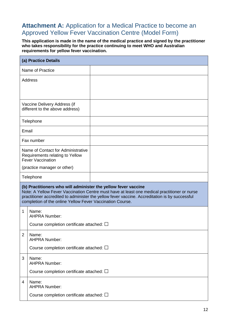# <span id="page-12-0"></span>Attachment A: Application for a Medical Practice to become an Approved Yellow Fever Vaccination Centre (Model Form)

**This application is made in the name of the medical practice and signed by the practitioner who takes responsibility for the practice continuing to meet WHO and Australian requirements for yellow fever vaccination.**

| (a) Practice Details                                                                                                                                                                                                                                                                                                          |                                                                 |  |  |  |
|-------------------------------------------------------------------------------------------------------------------------------------------------------------------------------------------------------------------------------------------------------------------------------------------------------------------------------|-----------------------------------------------------------------|--|--|--|
|                                                                                                                                                                                                                                                                                                                               | Name of Practice                                                |  |  |  |
| Address                                                                                                                                                                                                                                                                                                                       |                                                                 |  |  |  |
|                                                                                                                                                                                                                                                                                                                               | Vaccine Delivery Address (if<br>different to the above address) |  |  |  |
|                                                                                                                                                                                                                                                                                                                               | Telephone                                                       |  |  |  |
| Email                                                                                                                                                                                                                                                                                                                         |                                                                 |  |  |  |
|                                                                                                                                                                                                                                                                                                                               | Fax number                                                      |  |  |  |
| Name of Contact for Administrative<br>Requirements relating to Yellow<br><b>Fever Vaccination</b>                                                                                                                                                                                                                             |                                                                 |  |  |  |
|                                                                                                                                                                                                                                                                                                                               | (practice manager or other)                                     |  |  |  |
|                                                                                                                                                                                                                                                                                                                               | Telephone                                                       |  |  |  |
| (b) Practitioners who will administer the yellow fever vaccine<br>Note: A Yellow Fever Vaccination Centre must have at least one medical practitioner or nurse<br>practitioner accredited to administer the yellow fever vaccine. Accreditation is by successful<br>completion of the online Yellow Fever Vaccination Course. |                                                                 |  |  |  |
| 1                                                                                                                                                                                                                                                                                                                             | Name:<br><b>AHPRA Number:</b>                                   |  |  |  |
|                                                                                                                                                                                                                                                                                                                               | Course completion certificate attached: $\square$               |  |  |  |
| $\overline{2}$                                                                                                                                                                                                                                                                                                                | Name:<br><b>AHPRA Number:</b>                                   |  |  |  |
|                                                                                                                                                                                                                                                                                                                               | Course completion certificate attached: $\square$               |  |  |  |
| 3                                                                                                                                                                                                                                                                                                                             | Name:<br><b>AHPRA Number:</b>                                   |  |  |  |
|                                                                                                                                                                                                                                                                                                                               | Course completion certificate attached: $\square$               |  |  |  |
| 4                                                                                                                                                                                                                                                                                                                             | Name:<br><b>AHPRA Number:</b>                                   |  |  |  |
|                                                                                                                                                                                                                                                                                                                               | Course completion certificate attached: $\square$               |  |  |  |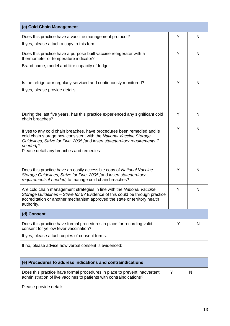| (c) Cold Chain Management                                                                                                                                                                                                                                                               |   |              |
|-----------------------------------------------------------------------------------------------------------------------------------------------------------------------------------------------------------------------------------------------------------------------------------------|---|--------------|
| Does this practice have a vaccine management protocol?<br>If yes, please attach a copy to this form.                                                                                                                                                                                    | Y | N            |
| Does this practice have a purpose built vaccine refrigerator with a<br>thermometer or temperature indicator?                                                                                                                                                                            | Y | N            |
| Brand name, model and litre capacity of fridge:                                                                                                                                                                                                                                         |   |              |
| Is the refrigerator regularly serviced and continuously monitored?                                                                                                                                                                                                                      | Y | N            |
| If yes, please provide details:                                                                                                                                                                                                                                                         |   |              |
| During the last five years, has this practice experienced any significant cold<br>chain breaches?                                                                                                                                                                                       | Y | N            |
| If yes to any cold chain breaches, have procedures been remedied and is<br>cold chain storage now consistent with the National Vaccine Storage<br>Guidelines, Strive for Five, 2005 [and insert state/territory requirements if<br>needed]?<br>Please detail any breaches and remedies: | Y | $\mathsf{N}$ |
| Does this practice have an easily accessible copy of National Vaccine<br>Storage Guidelines, Strive for Five, 2005 [and insert state/territory<br>requirements if needed] to manage cold chain breaches?                                                                                | Y | N            |
| Are cold chain management strategies in line with the National Vaccine<br>Storage Guidelines – Strive for 5? Evidence of this could be through practice<br>accreditation or another mechanism approved the state or territory health<br>authority.                                      | Y | N            |
| (d) Consent                                                                                                                                                                                                                                                                             |   |              |
| Does this practice have formal procedures in place for recording valid<br>consent for yellow fever vaccination?                                                                                                                                                                         | Υ | N            |
| If yes, please attach copies of consent forms.                                                                                                                                                                                                                                          |   |              |
| If no, please advise how verbal consent is evidenced:                                                                                                                                                                                                                                   |   |              |
| (e) Procedures to address indications and contraindications                                                                                                                                                                                                                             |   |              |
| Does this practice have formal procedures in place to prevent inadvertent<br>administration of live vaccines to patients with contraindications?                                                                                                                                        | Y | N            |
| Please provide details:                                                                                                                                                                                                                                                                 |   |              |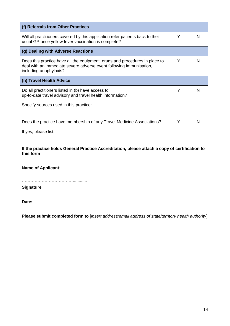| (f) Referrals from Other Practices                                                                                                                                           |   |   |  |
|------------------------------------------------------------------------------------------------------------------------------------------------------------------------------|---|---|--|
| Will all practitioners covered by this application refer patients back to their<br>usual GP once yellow fever vaccination is complete?                                       | Y | N |  |
| (g) Dealing with Adverse Reactions                                                                                                                                           |   |   |  |
| Does this practice have all the equipment, drugs and procedures in place to<br>deal with an immediate severe adverse event following immunisation,<br>including anaphylaxis? | Υ | N |  |
| (h) Travel Health Advice                                                                                                                                                     |   |   |  |
| Do all practitioners listed in (b) have access to<br>up-to-date travel advisory and travel health information?                                                               | Υ | N |  |
| Specify sources used in this practice:                                                                                                                                       |   |   |  |
| Does the practice have membership of any Travel Medicine Associations?                                                                                                       | Y | N |  |
| If yes, please list:                                                                                                                                                         |   |   |  |

**If the practice holds General Practice Accreditation, please attach a copy of certification to this form** 

**Name of Applicant:**

………………………………............

**Signature**

**Date:**

**Please submit completed form to** [*insert address/email address of state/territory health authority*]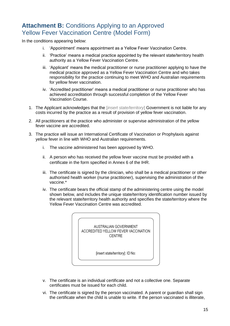# <span id="page-15-0"></span>**Attachment B: Conditions Applying to an Approved** Yellow Fever Vaccination Centre (Model Form)

In the conditions appearing below:

- i. 'Appointment' means appointment as a Yellow Fever Vaccination Centre.
- ii. 'Practice' means a medical practice appointed by the relevant state/territory health authority as a Yellow Fever Vaccination Centre.
- iii. 'Applicant' means the medical practitioner or nurse practitioner applying to have the medical practice approved as a Yellow Fever Vaccination Centre and who takes responsibility for the practice continuing to meet WHO and Australian requirements for yellow fever vaccination.
- iv. 'Accredited practitioner' means a medical practitioner or nurse practitioner who has achieved accreditation through successful completion of the Yellow Fever Vaccination Course.
- 1. The Applicant acknowledges that the [*insert state/territory*] Government is not liable for any costs incurred by the practice as a result of provision of yellow fever vaccination.
- 2. All practitioners at the practice who administer or supervise administration of the yellow fever vaccine are accredited.
- 3. The practice will issue an International Certificate of Vaccination or Prophylaxis against yellow fever in line with WHO and Australian requirements.
	- i. The vaccine administered has been approved by WHO.
	- ii. A person who has received the yellow fever vaccine must be provided with a certificate in the form specified in Annex 6 of the IHR.
	- iii. The certificate is signed by the clinician, who shall be a medical practitioner or other authorised health worker (nurse practitioner), supervising the administration of the vaccine.\*
	- iv. The certificate bears the official stamp of the administering centre using the model shown below, and includes the unique state/territory identification number issued by the relevant state/territory health authority and specifies the state/territory where the Yellow Fever Vaccination Centre was accredited.



- v. The certificate is an individual certificate and not a collective one. Separate certificates must be issued for each child.
- vi. The certificate is signed by the person vaccinated. A parent or guardian shall sign the certificate when the child is unable to write. If the person vaccinated is illiterate,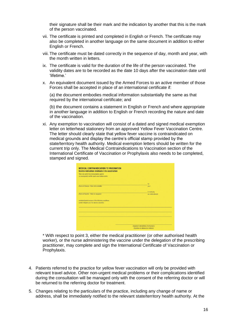their signature shall be their mark and the indication by another that this is the mark of the person vaccinated.

- vii. The certificate is printed and completed in English or French. The certificate may also be completed in another language on the same document in addition to either English or French.
- viii. The certificate must be dated correctly in the sequence of day, month and year, with the month written in letters.
- ix. The certificate is valid for the duration of the life of the person vaccinated. The validity dates are to be recorded as the date 10 days after the vaccination date until 'lifetime.'
- x. An equivalent document issued by the Armed Forces to an active member of those Forces shall be accepted in place of an international certificate if:

(a) the document embodies medical information substantially the same as that required by the international certificate; and

(b) the document contains a statement in English or French and where appropriate in another language in addition to English or French recording the nature and date of the vaccination.

xi. Any exemption to vaccination will consist of a dated and signed medical exemption letter on letterhead stationery from an approved Yellow Fever Vaccination Centre. The letter should clearly state that yellow fever vaccine is contraindicated on medical grounds and display the centre's official stamp provided by the state/territory health authority. Medical exemption letters should be written for the current trip only. The Medical Contraindications to Vaccination section of the International Certificate of Vaccination or Prophylaxis also needs to be completed, stamped and signed.

| Contre-indication médicale à la vaccination<br>This is to certify that immunization against |                                                                           |
|---------------------------------------------------------------------------------------------|---------------------------------------------------------------------------|
| Je soussigné(e) certifie que la vaccination contre                                          |                                                                           |
|                                                                                             |                                                                           |
|                                                                                             | for                                                                       |
| (Name of disease - Nom de la maladie)                                                       | pour                                                                      |
|                                                                                             | is medically                                                              |
| (Name of traveler - Nom du voyageur)                                                        | est médicalement                                                          |
| contraindicated because of the following conditions:                                        |                                                                           |
| contre-indiquée pour les raisons suivantes :                                                |                                                                           |
|                                                                                             |                                                                           |
|                                                                                             |                                                                           |
|                                                                                             |                                                                           |
|                                                                                             |                                                                           |
|                                                                                             |                                                                           |
|                                                                                             |                                                                           |
|                                                                                             | (Signature and address of physician)<br>(Signature et adresse du médecin) |

\* With respect to point 3, either the medical practitioner (or other authorised health worker), or the nurse administering the vaccine under the delegation of the prescribing practitioner, may complete and sign the International Certificate of Vaccination or Prophylaxis.

- 4. Patients referred to the practice for yellow fever vaccination will only be provided with relevant travel advice. Other non-urgent medical problems or their complications identified during the consultation will be managed only with the consent of the referring doctor or will be returned to the referring doctor for treatment.
- 5. Changes relating to the particulars of the practice, including any change of name or address, shall be immediately notified to the relevant state/territory health authority. At the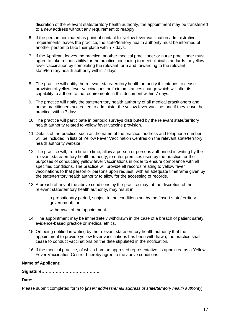discretion of the relevant state/territory health authority, the appointment may be transferred to a new address without any requirement to reapply.

- 6. If the person nominated as point of contact for yellow fever vaccination administrative requirements leaves the practice, the state/territory health authority must be informed of another person to take their place within 7 days.
- 7. If the Applicant leaves the practice, another medical practitioner or nurse practitioner must agree to take responsibility for the practice continuing to meet clinical standards for yellow fever vaccination by completing the relevant form and forwarding to the relevant state/territory health authority within 7 days.
- 8. The practice will notify the relevant state/territory health authority if it intends to cease provision of yellow fever vaccinations or if circumstances change which will alter its capability to adhere to the requirements in this document within 7 days.
- 9. The practice will notify the state/territory health authority of all medical practitioners and nurse practitioners accredited to administer the yellow fever vaccine, and if they leave the practice, within 7 days.
- 10. The practice will participate in periodic surveys distributed by the relevant state/territory health authority related to yellow fever vaccine provision.
- 11. Details of the practice, such as the name of the practice, address and telephone number, will be included in lists of Yellow Fever Vaccination Centres on the relevant state/territory health authority website.
- 12. The practice will, from time to time, allow a person or persons authorised in writing by the relevant state/territory health authority, to enter premises used by the practice for the purposes of conducting yellow fever vaccinations in order to ensure compliance with all specified conditions. The practice will provide all records relating to yellow fever vaccinations to that person or persons upon request, with an adequate timeframe given by the state/territory health authority to allow for the accessing of records.
- 13. A breach of any of the above conditions by the practice may, at the discretion of the relevant state/territory health authority, may result in
	- i. a probationary period, subject to the conditions set by the [insert state/territory government], or
	- ii. withdrawal of the appointment.
- 14. The appointment may be immediately withdrawn in the case of a breach of patient safety, evidence-based practice or medical ethics.
- 15. On being notified in writing by the relevant state/territory health authority that the appointment to provide yellow fever vaccinations has been withdrawn, the practice shall cease to conduct vaccinations on the date stipulated in the notification.
- 16. If the medical practice, of which I am an approved representative, is appointed as a Yellow Fever Vaccination Centre, I hereby agree to the above conditions.

#### **Name of Applicant:**

**Signature:**…………………………………..

**Date:**

Please submit completed form to [*insert address/email address of state/territory health authority*]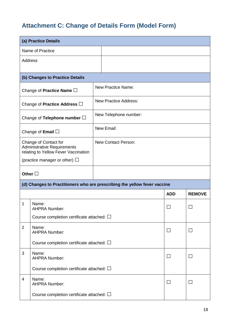# <span id="page-18-0"></span>**Attachment C: Change of Details Form (Model Form)**

| (a) Practice Details                              |                                                                                                     |                              |  |                |               |
|---------------------------------------------------|-----------------------------------------------------------------------------------------------------|------------------------------|--|----------------|---------------|
|                                                   | Name of Practice                                                                                    |                              |  |                |               |
| <b>Address</b>                                    |                                                                                                     |                              |  |                |               |
|                                                   |                                                                                                     |                              |  |                |               |
|                                                   | (b) Changes to Practice Details                                                                     |                              |  |                |               |
|                                                   | Change of Practice Name $\square$                                                                   | <b>New Practice Name:</b>    |  |                |               |
|                                                   | Change of Practice Address $\Box$                                                                   | <b>New Practice Address:</b> |  |                |               |
|                                                   | Change of Telephone number $\square$                                                                | New Telephone number:        |  |                |               |
|                                                   | Change of <b>Email</b> $\Box$                                                                       | New Email:                   |  |                |               |
|                                                   | Change of Contact for<br><b>Administrative Requirements</b><br>relating to Yellow Fever Vaccination | <b>New Contact Person:</b>   |  |                |               |
|                                                   | (practice manager or other) $\Box$                                                                  |                              |  |                |               |
| Other $\square$                                   |                                                                                                     |                              |  |                |               |
|                                                   | (d) Changes to Practitioners who are prescribing the yellow fever vaccine                           |                              |  |                |               |
|                                                   |                                                                                                     |                              |  | <b>ADD</b>     | <b>REMOVE</b> |
| 1                                                 | Name:<br><b>AHPRA Number:</b>                                                                       |                              |  |                |               |
| Course completion certificate attached: $\square$ |                                                                                                     |                              |  |                |               |
| $\overline{2}$                                    | Name:<br><b>AHPRA Number:</b>                                                                       |                              |  | $\mathsf{L}$   |               |
|                                                   | Course completion certificate attached: $\square$                                                   |                              |  |                |               |
| 3                                                 | Name:<br><b>AHPRA Number:</b>                                                                       |                              |  | $\mathbb{R}^n$ | $\mathsf{I}$  |
| Course completion certificate attached: $\square$ |                                                                                                     |                              |  |                |               |
| 4                                                 | Name:<br><b>AHPRA Number:</b>                                                                       |                              |  | $\mathsf{L}$   |               |
|                                                   | Course completion certificate attached: $\square$                                                   |                              |  |                |               |